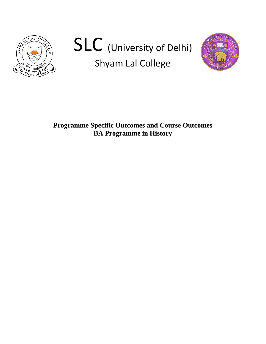

# SLC (University of Delhi) Shyam Lal College



**Programme Specific Outcomes and Course Outcomes BA Programme in History**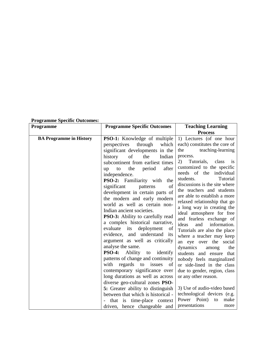| Programme specific Outcomes:   |                                                                                                                                                                                                                                                                                                                                                                                                                                                                                                                                                                                                                                                                                                                                                                                                                                                                                                                |                                                                                                                                                                                                                                                                                                                                                                                                                                                                                                                                                                                                                                                                                                                                                                                    |
|--------------------------------|----------------------------------------------------------------------------------------------------------------------------------------------------------------------------------------------------------------------------------------------------------------------------------------------------------------------------------------------------------------------------------------------------------------------------------------------------------------------------------------------------------------------------------------------------------------------------------------------------------------------------------------------------------------------------------------------------------------------------------------------------------------------------------------------------------------------------------------------------------------------------------------------------------------|------------------------------------------------------------------------------------------------------------------------------------------------------------------------------------------------------------------------------------------------------------------------------------------------------------------------------------------------------------------------------------------------------------------------------------------------------------------------------------------------------------------------------------------------------------------------------------------------------------------------------------------------------------------------------------------------------------------------------------------------------------------------------------|
| <b>Programme</b>               | <b>Programme Specific Outcomes</b>                                                                                                                                                                                                                                                                                                                                                                                                                                                                                                                                                                                                                                                                                                                                                                                                                                                                             | <b>Teaching Learning</b>                                                                                                                                                                                                                                                                                                                                                                                                                                                                                                                                                                                                                                                                                                                                                           |
|                                |                                                                                                                                                                                                                                                                                                                                                                                                                                                                                                                                                                                                                                                                                                                                                                                                                                                                                                                | <b>Process</b>                                                                                                                                                                                                                                                                                                                                                                                                                                                                                                                                                                                                                                                                                                                                                                     |
| <b>BA Programme in History</b> | <b>PSO-1:</b> Knowledge of multiple<br>through<br>which<br>perspectives<br>significant developments in the<br>of<br>the<br>Indian<br>history<br>subcontinent from earliest times<br>the<br>period<br>after<br>to<br>up<br>independence.<br>PSO-2: Familiarity with the<br>significant<br>patterns<br>of<br>development in certain parts of<br>the modern and early modern<br>world as well as certain non-<br>Indian ancient societies.<br><b>PSO-3:</b> Ability to carefully read<br>a complex historical narrative,<br>evaluate its<br>deployment<br>of<br>evidence, and understand its<br>argument as well as critically<br>analyse the same.<br><b>PSO-4:</b><br>Ability<br>identify<br>to<br>patterns of change and continuity<br>with regards to issues of<br>contemporary significance over<br>long durations as well as across<br>diverse geo-cultural zones PSO-<br>5: Greater ability to distinguish | 1) Lectures (of one hour<br>each) constitutes the core of<br>teaching-learning<br>the<br>process.<br>Tutorials,<br>class<br>2)<br><i>is</i><br>customized to the specific<br>needs of the individual<br>students.<br>Tutorial<br>discussions is the site where<br>the teachers and students<br>are able to establish a more<br>relaxed relationship that go<br>a long way in creating the<br>ideal atmosphere for free<br>and fearless exchange of<br>information.<br>ideas<br>and<br>Tutorials are also the place<br>where a teacher may keep<br>an eye over the social<br>dynamics<br>the<br>among<br>students and ensure that<br>nobody feels marginalized<br>or side-lined in the class<br>due to gender, region, class<br>or any other reason.<br>3) Use of audio-video based |
|                                | between that which is historical -<br>that is time-place context                                                                                                                                                                                                                                                                                                                                                                                                                                                                                                                                                                                                                                                                                                                                                                                                                                               | technological devices (e.g.<br>Power Point)<br>make<br>to                                                                                                                                                                                                                                                                                                                                                                                                                                                                                                                                                                                                                                                                                                                          |

## **Programme Specific Outcomes:**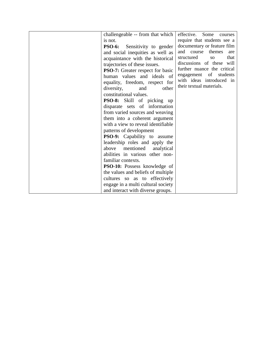| challengeable -- from that which        | effective.<br>Some<br>courses   |
|-----------------------------------------|---------------------------------|
| is not.                                 | require that students see a     |
| <b>PSO-6:</b><br>Sensitivity to gender  | documentary or feature film     |
| and social inequities as well as        | and<br>course<br>themes<br>are  |
| acquaintance with the historical        | that<br>structured<br><b>SO</b> |
| trajectories of these issues.           | discussions of these will       |
| <b>PSO-7:</b> Greater respect for basic | further nuance the critical     |
| human values and ideals of              | engagement of<br>students       |
| equality, freedom, respect for          | with ideas introduced in        |
| diversity,<br>other<br>and              | their textual materials.        |
| constitutional values.                  |                                 |
| <b>PSO-8:</b> Skill of picking up       |                                 |
| disparate sets of information           |                                 |
| from varied sources and weaving         |                                 |
| them into a coherent argument           |                                 |
| with a view to reveal identifiable      |                                 |
| patterns of development                 |                                 |
| PSO-9: Capability to assume             |                                 |
| leadership roles and apply the          |                                 |
| mentioned<br>above<br>analytical        |                                 |
| abilities in various other non-         |                                 |
| familiar contexts.                      |                                 |
| PSO-10: Possess knowledge of            |                                 |
| the values and beliefs of multiple      |                                 |
| cultures so as to effectively           |                                 |
| engage in a multi cultural society      |                                 |
| and interact with diverse groups.       |                                 |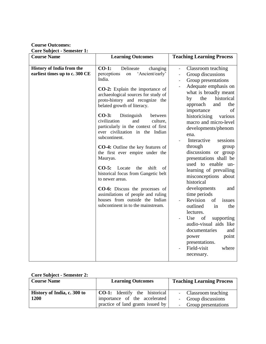**Course Outcomes:** 

**Core Subject - Semester 1:**

| <b>Course Name</b>                                                 | <b>Learning Outcomes</b>                                                                                                                                                                                                                                                                                                                                                                                                                                                                                                                                                                                                                                                                                                                                   | <b>Teaching Learning Process</b>                                                                                                                                                                                                                                                                                                                                                                                                                                                                                                                                                                                                                                                                                                                                                               |
|--------------------------------------------------------------------|------------------------------------------------------------------------------------------------------------------------------------------------------------------------------------------------------------------------------------------------------------------------------------------------------------------------------------------------------------------------------------------------------------------------------------------------------------------------------------------------------------------------------------------------------------------------------------------------------------------------------------------------------------------------------------------------------------------------------------------------------------|------------------------------------------------------------------------------------------------------------------------------------------------------------------------------------------------------------------------------------------------------------------------------------------------------------------------------------------------------------------------------------------------------------------------------------------------------------------------------------------------------------------------------------------------------------------------------------------------------------------------------------------------------------------------------------------------------------------------------------------------------------------------------------------------|
| <b>History of India from the</b><br>earliest times up to c. 300 CE | $CO-1$ :<br>Delineate<br>changing<br>perceptions<br>'Ancient/early'<br>on<br>India.<br><b>CO-2:</b> Explain the importance of<br>archaeological sources for study of<br>proto-history and recognize the<br>belated growth of literacy.<br>$CO-3:$<br>Distinguish<br>between<br>civilization<br>and<br>culture,<br>particularly in the context of first<br>ever civilization in the Indian<br>subcontinent.<br><b>CO-4:</b> Outline the key features of<br>the first ever empire under the<br>Mauryas.<br>$CO-5:$<br>Locate<br>the<br>shift<br>οf<br>historical focus from Gangetic belt<br>to newer areas.<br>CO-6: Discuss the processes of<br>assimilations of people and ruling<br>houses from outside the Indian<br>subcontinent in to the mainstream. | Classroom teaching<br>Group discussions<br>$\overline{\phantom{a}}$<br>Group presentations<br>$\overline{\phantom{a}}$<br>Adequate emphasis on<br>what is broadly meant<br>historical<br>the<br>by<br>approach<br>and<br>the<br>importance<br>of<br>historicising<br>various<br>macro and micro-level<br>developments/phenom<br>ena.<br>Interactive<br>sessions<br>through<br>group<br>discussions or group<br>presentations shall be<br>used to enable<br>un-<br>learning of prevailing<br>misconceptions about<br>historical<br>developments<br>and<br>time periods<br>Revision<br>of<br>issues<br>outlined<br>in<br>the<br>lectures.<br>of<br>Use<br>supporting<br>audio-visual aids like<br>documentaries<br>and<br>point<br>power<br>presentations.<br>Field-visit<br>where<br>necessary. |

#### **Core Subject - Semester 2:**

| <b>Course Name</b>                  | <b>Learning Outcomes</b>                                                                                   | <b>Teaching Learning Process</b>                                   |
|-------------------------------------|------------------------------------------------------------------------------------------------------------|--------------------------------------------------------------------|
| History of India, c. 300 to<br>1200 | <b>CO-1:</b> Identify the historical<br>importance of the accelerated<br>practice of land grants issued by | - Classroom teaching<br>- Group discussions<br>Group presentations |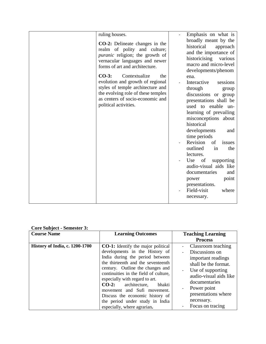|  |  | <b>Core Subject - Semester 3:</b> |  |
|--|--|-----------------------------------|--|
|--|--|-----------------------------------|--|

| <b>Course Name</b>                    | <b>Learning Outcomes</b>                                                                                                                                                                                                                                                                                                                                                                                                                       | <b>Teaching Learning</b>                                                                                                                                                                                                   |
|---------------------------------------|------------------------------------------------------------------------------------------------------------------------------------------------------------------------------------------------------------------------------------------------------------------------------------------------------------------------------------------------------------------------------------------------------------------------------------------------|----------------------------------------------------------------------------------------------------------------------------------------------------------------------------------------------------------------------------|
|                                       |                                                                                                                                                                                                                                                                                                                                                                                                                                                | <b>Process</b>                                                                                                                                                                                                             |
| <b>History of India, c. 1200-1700</b> | <b>CO-1:</b> Identify the major political<br>developments in the History of<br>India during the period between<br>the thirteenth and the seventeenth<br>century. Outline the changes and<br>continuities in the field of culture,<br>especially with regard to art.<br>$CO-2$ :<br>architecture,<br>bhakti<br>movement and Sufi movement.<br>Discuss the economic history of<br>the period under study in India<br>especially, where agrarian. | Classroom teaching<br>Discussions on<br>important readings<br>shall be the format.<br>Use of supporting<br>audio-visual aids like<br>documentaries<br>Power point<br>presentations where<br>necessary.<br>Focus on tracing |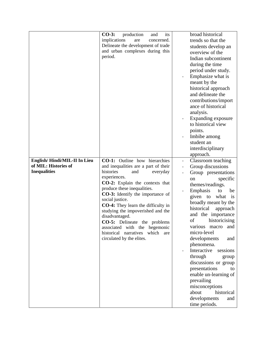| $CO-3:$<br>production<br>its<br>and | broad historical                                                                                                                                                                                                                                                                                                                                                                                          |
|-------------------------------------|-----------------------------------------------------------------------------------------------------------------------------------------------------------------------------------------------------------------------------------------------------------------------------------------------------------------------------------------------------------------------------------------------------------|
| implications<br>are<br>concerned.   | trends so that the                                                                                                                                                                                                                                                                                                                                                                                        |
| Delineate the development of trade  | students develop an                                                                                                                                                                                                                                                                                                                                                                                       |
| and urban complexes during this     | overview of the                                                                                                                                                                                                                                                                                                                                                                                           |
|                                     | Indian subcontinent                                                                                                                                                                                                                                                                                                                                                                                       |
|                                     | during the time                                                                                                                                                                                                                                                                                                                                                                                           |
|                                     | period under study.                                                                                                                                                                                                                                                                                                                                                                                       |
|                                     | Emphasize what is                                                                                                                                                                                                                                                                                                                                                                                         |
|                                     | meant by the                                                                                                                                                                                                                                                                                                                                                                                              |
|                                     | historical approach                                                                                                                                                                                                                                                                                                                                                                                       |
|                                     | and delineate the                                                                                                                                                                                                                                                                                                                                                                                         |
|                                     | contributions/import                                                                                                                                                                                                                                                                                                                                                                                      |
|                                     | ance of historical                                                                                                                                                                                                                                                                                                                                                                                        |
|                                     | analysis.                                                                                                                                                                                                                                                                                                                                                                                                 |
|                                     | Expanding exposure                                                                                                                                                                                                                                                                                                                                                                                        |
|                                     | to historical view                                                                                                                                                                                                                                                                                                                                                                                        |
|                                     | points.                                                                                                                                                                                                                                                                                                                                                                                                   |
|                                     | Imbibe among                                                                                                                                                                                                                                                                                                                                                                                              |
|                                     | student an                                                                                                                                                                                                                                                                                                                                                                                                |
|                                     | interdisciplinary                                                                                                                                                                                                                                                                                                                                                                                         |
|                                     | approach.                                                                                                                                                                                                                                                                                                                                                                                                 |
|                                     | Classroom teaching<br>$\frac{1}{2}$                                                                                                                                                                                                                                                                                                                                                                       |
|                                     | Group discussions                                                                                                                                                                                                                                                                                                                                                                                         |
| histories<br>and                    | Group presentations                                                                                                                                                                                                                                                                                                                                                                                       |
| experiences.                        | specific<br>on                                                                                                                                                                                                                                                                                                                                                                                            |
| CO-2: Explain the contexts that     | themes/readings.                                                                                                                                                                                                                                                                                                                                                                                          |
| produce these inequalities.         | Emphasis<br>to<br>be                                                                                                                                                                                                                                                                                                                                                                                      |
|                                     | given to<br>what<br>is                                                                                                                                                                                                                                                                                                                                                                                    |
|                                     | broadly meant by the                                                                                                                                                                                                                                                                                                                                                                                      |
|                                     | historical<br>approach                                                                                                                                                                                                                                                                                                                                                                                    |
|                                     | and the importance                                                                                                                                                                                                                                                                                                                                                                                        |
|                                     | of<br>historicising                                                                                                                                                                                                                                                                                                                                                                                       |
|                                     | and<br>various macro                                                                                                                                                                                                                                                                                                                                                                                      |
|                                     | micro-level                                                                                                                                                                                                                                                                                                                                                                                               |
|                                     | developments<br>and                                                                                                                                                                                                                                                                                                                                                                                       |
|                                     | phenomena.                                                                                                                                                                                                                                                                                                                                                                                                |
|                                     | Interactive<br>sessions                                                                                                                                                                                                                                                                                                                                                                                   |
|                                     | through<br>group                                                                                                                                                                                                                                                                                                                                                                                          |
|                                     | discussions or group                                                                                                                                                                                                                                                                                                                                                                                      |
|                                     | presentations<br>to                                                                                                                                                                                                                                                                                                                                                                                       |
|                                     | enable un-learning of                                                                                                                                                                                                                                                                                                                                                                                     |
|                                     | prevailing                                                                                                                                                                                                                                                                                                                                                                                                |
|                                     |                                                                                                                                                                                                                                                                                                                                                                                                           |
|                                     |                                                                                                                                                                                                                                                                                                                                                                                                           |
|                                     | misconceptions                                                                                                                                                                                                                                                                                                                                                                                            |
|                                     | about<br>historical<br>developments<br>and                                                                                                                                                                                                                                                                                                                                                                |
|                                     | period.<br><b>CO-1:</b> Outline how hierarchies<br>and inequalities are a part of their<br>everyday<br><b>CO-3:</b> Identify the importance of<br>social justice.<br>CO-4: They learn the difficulty in<br>studying the impoverished and the<br>disadvantaged.<br><b>CO-5:</b> Delineate the problems<br>associated with the hegemonic<br>historical narratives<br>which are<br>circulated by the elites. |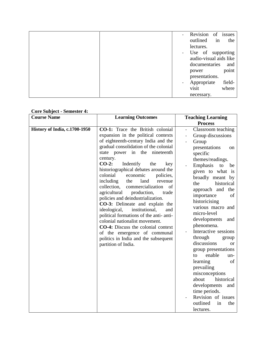|  |                          | Revision of issues  |                        |
|--|--------------------------|---------------------|------------------------|
|  |                          | outlined            | in<br>the              |
|  |                          | lectures.           |                        |
|  |                          | - Use of supporting |                        |
|  |                          |                     | audio-visual aids like |
|  |                          | documentaries       | and                    |
|  |                          | power               | point                  |
|  |                          | presentations.      |                        |
|  | $\overline{\phantom{0}}$ | Appropriate         | field-                 |
|  |                          | visit               | where                  |
|  |                          | necessary.          |                        |

#### **Core Subject - Semester 4:**

| <b>Course Name</b>            | <b>Learning Outcomes</b>                                                                                                                                                                                                                                                                                                                                                                                                                                                                                                                                                                                                                                                                                                                                                                          | <b>Teaching Learning</b>                                                                                                                                                                                                                                                                                                                                                                                                                                                                                                                                                                                                                                          |
|-------------------------------|---------------------------------------------------------------------------------------------------------------------------------------------------------------------------------------------------------------------------------------------------------------------------------------------------------------------------------------------------------------------------------------------------------------------------------------------------------------------------------------------------------------------------------------------------------------------------------------------------------------------------------------------------------------------------------------------------------------------------------------------------------------------------------------------------|-------------------------------------------------------------------------------------------------------------------------------------------------------------------------------------------------------------------------------------------------------------------------------------------------------------------------------------------------------------------------------------------------------------------------------------------------------------------------------------------------------------------------------------------------------------------------------------------------------------------------------------------------------------------|
|                               |                                                                                                                                                                                                                                                                                                                                                                                                                                                                                                                                                                                                                                                                                                                                                                                                   | <b>Process</b>                                                                                                                                                                                                                                                                                                                                                                                                                                                                                                                                                                                                                                                    |
| History of India, c.1700-1950 | CO-1: Trace the British colonial<br>expansion in the political contexts<br>of eighteenth-century India and the<br>gradual consolidation of the colonial<br>state power in the nineteenth<br>century.<br>$CO-2$ :<br>Indentify<br>the<br>key<br>historiographical debates around the<br>colonial<br>economic<br>policies,<br>including<br>land<br>the<br>revenue<br>collection,<br>commercialization<br>of<br>agricultural<br>production,<br>trade<br>policies and deindustrialization.<br><b>CO-3:</b> Delineate and explain the<br>ideological,<br>institutional,<br>and<br>political formations of the anti-anti-<br>colonial nationalist movement.<br><b>CO-4:</b> Discuss the colonial context<br>of the emergence of communal<br>politics in India and the subsequent<br>partition of India. | Classroom teaching<br>$\overline{\phantom{a}}$<br>Group discussions<br>Group<br>presentations<br>on<br>specific<br>themes/readings.<br>Emphasis<br>to<br>be<br>given to what is<br>broadly meant by<br>historical<br>the<br>approach and the<br>importance<br>of<br>historicising<br>various macro and<br>micro-level<br>developments<br>and<br>phenomena.<br>Interactive sessions<br>through<br>group<br>discussions<br><sub>or</sub><br>group presentations<br>enable<br>to<br>un-<br>of<br>learning<br>prevailing<br>misconceptions<br>historical<br>about<br>developments<br>and<br>time periods.<br>Revision of issues<br>outlined<br>in<br>the<br>lectures. |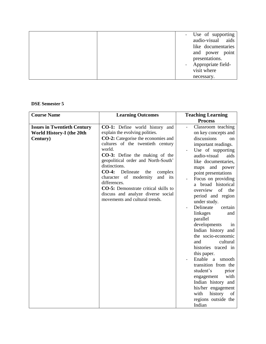|  | - Use of supporting |
|--|---------------------|
|  | audio-visual aids   |
|  | like documentaries  |
|  | and power point     |
|  | presentations.      |
|  | Appropriate field-  |
|  | visit where         |
|  | necessary.          |

**DSE Semester 5**

| <b>Course Name</b>                                                          | <b>Learning Outcomes</b>                                                                                                                                                                                                                                                                                                                                                                                                                                                                   | <b>Teaching Learning</b>                                                                                                                                                                                                                                                                                                                                                                                                                                                                                                                                                                                                                                                                         |
|-----------------------------------------------------------------------------|--------------------------------------------------------------------------------------------------------------------------------------------------------------------------------------------------------------------------------------------------------------------------------------------------------------------------------------------------------------------------------------------------------------------------------------------------------------------------------------------|--------------------------------------------------------------------------------------------------------------------------------------------------------------------------------------------------------------------------------------------------------------------------------------------------------------------------------------------------------------------------------------------------------------------------------------------------------------------------------------------------------------------------------------------------------------------------------------------------------------------------------------------------------------------------------------------------|
|                                                                             |                                                                                                                                                                                                                                                                                                                                                                                                                                                                                            | <b>Process</b>                                                                                                                                                                                                                                                                                                                                                                                                                                                                                                                                                                                                                                                                                   |
| <b>Issues in Twentieth Century</b><br>World History-I (the 20th<br>Century) | <b>CO-1:</b> Define world history and<br>explain the evolving polities.<br><b>CO-2:</b> Categorise the economies and<br>cultures of the twentieth century<br>world.<br><b>CO-3:</b> Define the making of the<br>geopolitical order and North-South'<br>distinctions.<br>$CO-4:$<br>Delineate<br>the<br>complex<br>character of modernity<br>and its<br>differences.<br><b>CO-5:</b> Demonstrate critical skills to<br>discuss and analyze diverse social<br>movements and cultural trends. | Classroom teaching<br>on key concepts and<br>discussions<br>on<br>important readings.<br>Use of supporting<br>audio-visual<br>aids<br>like documentaries,<br>and power<br>maps<br>point presentations<br>Focus on providing<br>a broad historical<br>overview<br>of<br>the<br>period and region<br>under study.<br>Delineate<br>certain<br>linkages<br>and<br>parallel<br>developments<br>1n<br>Indian history and<br>the socio-economic<br>and<br>cultural<br>histories traced in<br>this paper.<br>Enable a<br>smooth<br>transition from the<br>student's<br>prior<br>with<br>engagement<br>Indian history and<br>his/her engagement<br>history<br>with<br>of<br>regions outside the<br>Indian |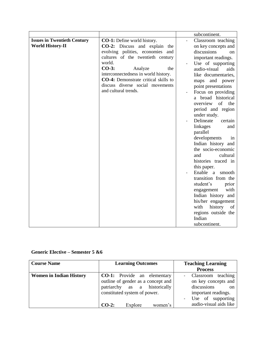|                                    |                                             | subcontinent.                |
|------------------------------------|---------------------------------------------|------------------------------|
| <b>Issues in Twentieth Century</b> | <b>CO-1:</b> Define world history.          | Classroom teaching           |
| <b>World History-II</b>            | <b>CO-2:</b> Discuss and explain the        | on key concepts and          |
|                                    | evolving polities, economies<br>and         | discussions<br><sub>on</sub> |
|                                    | cultures of the twentieth century           | important readings.          |
|                                    | world.                                      | Use of supporting            |
|                                    | $CO-3:$<br>Analyze<br>the                   | audio-visual<br>aids         |
|                                    | interconnectedness in world history.        | like documentaries,          |
|                                    | <b>CO-4:</b> Demonstrate critical skills to | and power<br>maps            |
|                                    | discuss diverse social movements            | point presentations          |
|                                    | and cultural trends.                        | Focus on providing           |
|                                    |                                             | a broad historical           |
|                                    |                                             | overview<br>of<br>the        |
|                                    |                                             | period and region            |
|                                    |                                             | under study.                 |
|                                    |                                             | Delineate<br>certain         |
|                                    |                                             | linkages<br>and              |
|                                    |                                             | parallel                     |
|                                    |                                             | developments<br>in           |
|                                    |                                             | Indian history and           |
|                                    |                                             | the socio-economic           |
|                                    |                                             | and<br>cultural              |
|                                    |                                             | histories traced in          |
|                                    |                                             | this paper.                  |
|                                    |                                             | Enable a<br>smooth           |
|                                    |                                             | transition from the          |
|                                    |                                             | student's<br>prior           |
|                                    |                                             | with<br>engagement           |
|                                    |                                             | Indian history and           |
|                                    |                                             | his/her engagement           |
|                                    |                                             | history<br>with<br>of        |
|                                    |                                             | regions outside the          |
|                                    |                                             | Indian                       |
|                                    |                                             | subcontinent.                |

### **Generic Elective – Semester 5 &6**

| <b>Course Name</b>             | <b>Learning Outcomes</b>           | <b>Teaching Learning</b> |
|--------------------------------|------------------------------------|--------------------------|
|                                |                                    | <b>Process</b>           |
| <b>Women in Indian History</b> | <b>CO-1:</b> Provide an elementary | teaching<br>Classroom    |
|                                | outline of gender as a concept and | on key concepts and      |
|                                | patriarchy as a historically       | discussions<br>on        |
|                                | constituted system of power.       | important readings.      |
|                                |                                    | Use of supporting        |
|                                | Explore<br>$CO-2$ :<br>women's     | audio-visual aids like   |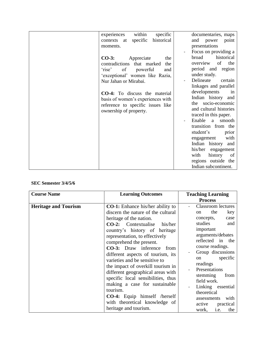| within<br>specific<br>experiences     | documentaries, maps              |
|---------------------------------------|----------------------------------|
| historical<br>specific<br>contexts at | and power<br>point               |
| moments.                              | presentations                    |
|                                       | Focus on providing a             |
| $CO-3:$<br>Appreciate<br>the          | broad<br>historical              |
| contradictions that marked<br>the     | of<br>the<br>overview            |
| 'rise' of powerful<br>and             | period and region                |
| 'exceptional' women like Razia,       | under study.                     |
| Nur Jahan or Mirabai.                 | Delineate<br>certain             |
|                                       | linkages and parallel            |
| CO-4: To discuss the material         | developments<br>in               |
| basis of women's experiences with     | Indian history and               |
| reference to specific issues like     | the socio-economic               |
| ownership of property.                | and cultural histories           |
|                                       | traced in this paper.            |
|                                       | Enable<br>smooth<br>a a          |
|                                       | transition from the              |
|                                       | student's<br>prior               |
|                                       | with<br>engagement               |
|                                       | Indian history and               |
|                                       | his/her<br>engagement            |
|                                       | with<br>history<br><sub>of</sub> |
|                                       | regions outside the              |
|                                       | Indian subcontinent.             |

#### **SEC Semester 3/4/5/6**

| <b>Course Name</b>          | <b>Learning Outcomes</b>                                                                                                                                                                                                                                                                                                                                                                                                                                                                                                                                                                                             | <b>Teaching Learning</b><br><b>Process</b>                                                                                                                                                                                                                                                                                                                                      |
|-----------------------------|----------------------------------------------------------------------------------------------------------------------------------------------------------------------------------------------------------------------------------------------------------------------------------------------------------------------------------------------------------------------------------------------------------------------------------------------------------------------------------------------------------------------------------------------------------------------------------------------------------------------|---------------------------------------------------------------------------------------------------------------------------------------------------------------------------------------------------------------------------------------------------------------------------------------------------------------------------------------------------------------------------------|
| <b>Heritage and Tourism</b> | <b>CO-1:</b> Enhance his/her ability to<br>discern the nature of the cultural<br>heritage of the nation.<br><b>CO-2:</b> Contextualise his/her<br>country's history of heritage<br>representation, to effectively<br>comprehend the present.<br><b>CO-3:</b> Draw inference from<br>different aspects of tourism, its<br>varieties and be sensitive to<br>the impact of overkill tourism in<br>different geographical areas with<br>specific local sensibilities, thus<br>making a case for sustainable<br>tourism.<br><b>CO-4:</b> Equip himself /herself<br>with theoretical knowledge of<br>heritage and tourism. | <b>Classroom</b> lectures<br>the<br>key<br>on<br>concepts,<br>case<br>studies<br>and<br>important<br>arguments/debates<br>reflected in the<br>course readings.<br>Group discussions<br>specific<br>on<br>readings<br>Presentations<br>stemming<br>from<br>field work.<br>Linking essential<br>theoretical<br>with<br>assessments<br>active<br>practical<br>i.e.<br>the<br>work, |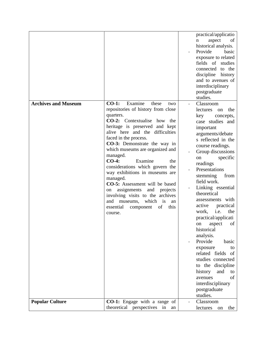|                            |                                                                                                                                                                                                                                                                                                                                                                                                                                                                                                                                                                                                                                                | practical/applicatio<br>aspect<br>$\mathbf n$<br>of<br>historical analysis.<br>Provide<br>basic<br>exposure to related<br>fields of<br>studies<br>connected to the<br>discipline<br>history<br>and to avenues of<br>interdisciplinary<br>postgraduate<br>studies.                                                                                                                                                                                                                                                                                                                                                                          |
|----------------------------|------------------------------------------------------------------------------------------------------------------------------------------------------------------------------------------------------------------------------------------------------------------------------------------------------------------------------------------------------------------------------------------------------------------------------------------------------------------------------------------------------------------------------------------------------------------------------------------------------------------------------------------------|--------------------------------------------------------------------------------------------------------------------------------------------------------------------------------------------------------------------------------------------------------------------------------------------------------------------------------------------------------------------------------------------------------------------------------------------------------------------------------------------------------------------------------------------------------------------------------------------------------------------------------------------|
| <b>Archives and Museum</b> | Examine<br>$CO-1$ :<br>these<br>two<br>repositories of history from close<br>quarters.<br><b>CO-2:</b> Contextualise how<br>the<br>heritage is preserved and kept<br>alive here and the difficulties<br>faced in the process.<br>CO-3: Demonstrate the way in<br>which museums are organized and<br>managed.<br>$CO-4:$<br>Examine<br>the<br>considerations which govern the<br>way exhibitions in museums are<br>managed.<br>CO-5: Assessment will be based<br>and<br>assignments<br>projects<br>on<br>involving visits to the archives<br>which<br>$\frac{1}{1}$<br>and<br>museums,<br>an<br>of<br>essential<br>this<br>component<br>course. | Classroom<br>lectures<br>the<br>on<br>key<br>concepts,<br>case studies and<br>important<br>arguments/debate<br>s reflected in the<br>course readings.<br>Group discussions<br>specific<br>on<br>readings<br>Presentations<br>stemming<br>from<br>field work.<br>Linking essential<br>theoretical<br>assessments with<br>practical<br>active<br>work,<br>i.e.<br>the<br>practical/applicati<br>of<br>aspect<br>on<br>historical<br>analysis.<br>Provide<br>basic<br>exposure<br>to<br>related fields of<br>studies connected<br>to the discipline<br>history<br>and<br>to<br>of<br>avenues<br>interdisciplinary<br>postgraduate<br>studies. |
| <b>Popular Culture</b>     | CO-1: Engage with a range of<br>theoretical perspectives in<br>an                                                                                                                                                                                                                                                                                                                                                                                                                                                                                                                                                                              | Classroom<br>lectures<br>the<br>on                                                                                                                                                                                                                                                                                                                                                                                                                                                                                                                                                                                                         |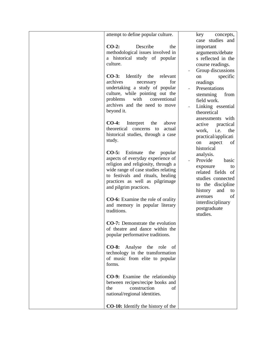| attempt to define popular culture.                                                                                                                                                                                                                                                                                                                                                                                                                                                                                                                                                                                                                                                                                                                          | key<br>concepts,<br>case studies and                                                                                                                                                                                                                                                                                                                                                                                                                                              |
|-------------------------------------------------------------------------------------------------------------------------------------------------------------------------------------------------------------------------------------------------------------------------------------------------------------------------------------------------------------------------------------------------------------------------------------------------------------------------------------------------------------------------------------------------------------------------------------------------------------------------------------------------------------------------------------------------------------------------------------------------------------|-----------------------------------------------------------------------------------------------------------------------------------------------------------------------------------------------------------------------------------------------------------------------------------------------------------------------------------------------------------------------------------------------------------------------------------------------------------------------------------|
| $CO-2$ :<br>Describe<br>the<br>methodological issues involved in<br>a historical study of popular<br>culture.                                                                                                                                                                                                                                                                                                                                                                                                                                                                                                                                                                                                                                               | important<br>arguments/debate<br>s reflected in the<br>course readings.                                                                                                                                                                                                                                                                                                                                                                                                           |
| <b>CO-3:</b> Identify the<br>relevant<br>archives<br>for<br>necessary<br>undertaking a study of popular<br>culture, while pointing out the<br>problems<br>with<br>conventional<br>archives and the need to move<br>beyond it.<br>$CO-4:$<br>Interpret<br>the<br>above<br>theoretical concerns<br>actual<br>to<br>historical studies, through a case<br>study.<br>Estimate<br>$CO-5:$<br>the<br>popular<br>aspects of everyday experience of<br>religion and religiosity, through a<br>wide range of case studies relating<br>to festivals and rituals, healing<br>practices as well as pilgrimage<br>and pilgrim practices.<br><b>CO-6:</b> Examine the role of orality<br>and memory in popular literary<br>traditions.<br>CO-7: Demonstrate the evolution | Group discussions<br>specific<br>on<br>readings<br>Presentations<br>stemming<br>from<br>field work.<br>Linking essential<br>theoretical<br>assessments with<br>practical<br>active<br>i.e.<br>work,<br>the<br>practical/applicati<br>aspect<br>of<br>on<br>historical<br>analysis.<br>Provide<br>basic<br>exposure<br>to<br>related fields of<br>studies connected<br>to the discipline<br>history<br>and<br>to<br>of<br>avenues<br>interdisciplinary<br>postgraduate<br>studies. |
| of theatre and dance within the<br>popular performative traditions.                                                                                                                                                                                                                                                                                                                                                                                                                                                                                                                                                                                                                                                                                         |                                                                                                                                                                                                                                                                                                                                                                                                                                                                                   |
| Analyse<br>$CO-8:$<br>the<br>role<br>of<br>technology in the transformation<br>of music from elite to popular<br>forms.                                                                                                                                                                                                                                                                                                                                                                                                                                                                                                                                                                                                                                     |                                                                                                                                                                                                                                                                                                                                                                                                                                                                                   |
| <b>CO-9:</b> Examine the relationship<br>between recipes/recipe books and<br>the<br>construction<br>of<br>national/regional identities.                                                                                                                                                                                                                                                                                                                                                                                                                                                                                                                                                                                                                     |                                                                                                                                                                                                                                                                                                                                                                                                                                                                                   |
| <b>CO-10:</b> Identify the history of the                                                                                                                                                                                                                                                                                                                                                                                                                                                                                                                                                                                                                                                                                                                   |                                                                                                                                                                                                                                                                                                                                                                                                                                                                                   |